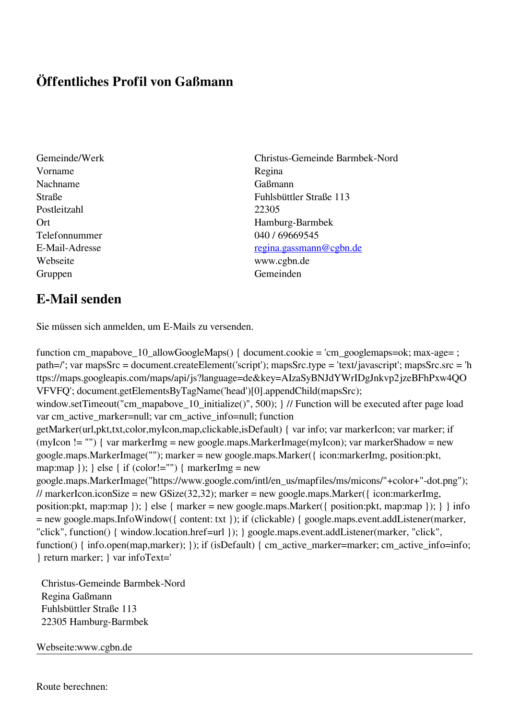## **Öffentliches Profil von Gaßmann**

- Vorname Regina Nachname Gaßmann Postleitzahl 22305 Telefonnummer 040 / 69669545 Webseite www.cgbn.de Gruppen Gemeinden Gemeinden Gemeinden Gemeinden Gemeinden Gemeinden Gemeinden Gemeinden Gemeinden Gemeinden G
- Gemeinde/Werk Christus-Gemeinde Barmbek-Nord Straße Fuhlsbüttler Straße 113 Ort Hamburg-Barmbek E-Mail-Adresse [regina.gassmann@cgbn.de](mailto:regina.gassmann@cgbn.de)

## **E-Mail senden**

Sie müssen sich anmelden, um E-Mails zu versenden.

function cm\_mapabove\_10\_allowGoogleMaps() { document.cookie = 'cm\_googlemaps=ok; max-age= ; path=/'; var mapsSrc = document.createElement('script'); mapsSrc.type = 'text/javascript'; mapsSrc.src = 'h ttps://maps.googleapis.com/maps/api/js?language=de&key=AIzaSyBNJdYWrIDgJnkvp2jzeBFhPxw4QO VFVFQ'; document.getElementsByTagName('head')[0].appendChild(mapsSrc); window.setTimeout("cm\_mapabove\_10\_initialize()", 500); } // Function will be executed after page load var cm\_active\_marker=null; var cm\_active\_info=null; function getMarker(url,pkt,txt,color,myIcon,map,clickable,isDefault) { var info; var markerIcon; var marker; if (myIcon != "") { var markerImg = new google.maps.MarkerImage(myIcon); var markerShadow = new google.maps.MarkerImage(""); marker = new google.maps.Marker({ icon:markerImg, position:pkt, map:map  $\}$ ;  $\}$  else  $\{$  if (color!="")  $\{$  markerImg = new google.maps.MarkerImage("https://www.google.com/intl/en\_us/mapfiles/ms/micons/"+color+"-dot.png"); // markerIcon.iconSize = new GSize(32,32); marker = new google.maps.Marker({ $i$ con:markerImg, position:pkt, map:map }); } else { marker = new google.maps.Marker({ position:pkt, map:map }); } } info = new google.maps.InfoWindow({ content: txt }); if (clickable) { google.maps.event.addListener(marker, "click", function() { window.location.href=url }); } google.maps.event.addListener(marker, "click", function() { info.open(map,marker); }); if (isDefault) { cm\_active\_marker=marker; cm\_active\_info=info; } return marker; } var infoText='

 Christus-Gemeinde Barmbek-Nord Regina Gaßmann Fuhlsbüttler Straße 113 22305 Hamburg-Barmbek

Webseite:www.cgbn.de

Route berechnen: